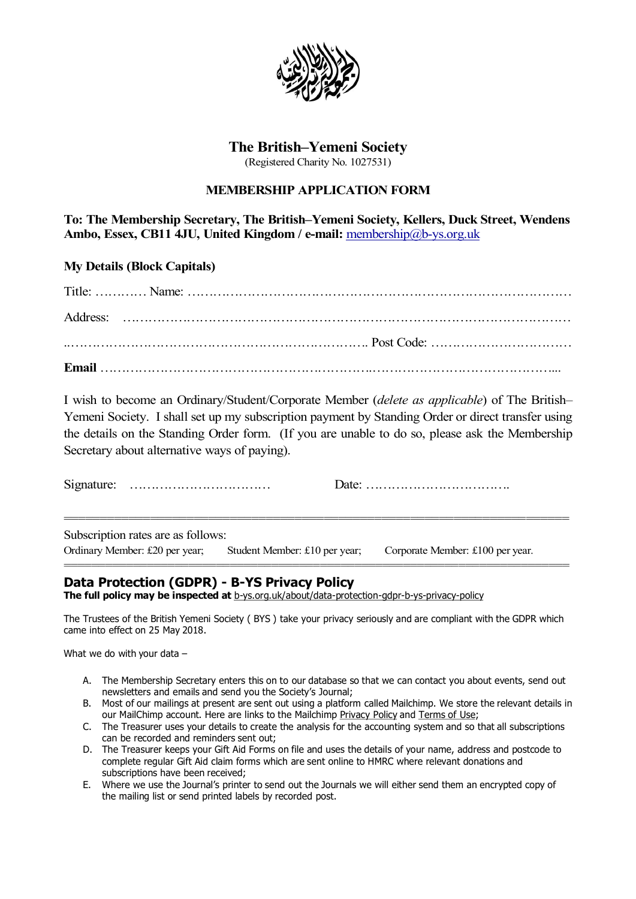

# The British–Yemeni Society

## MEMBERSHIP APPLICATION FORM

| <b>The British–Yemeni Society</b>                                                                                                                                                                                                                                                                                                                   |
|-----------------------------------------------------------------------------------------------------------------------------------------------------------------------------------------------------------------------------------------------------------------------------------------------------------------------------------------------------|
| (Registered Charity No. 1027531)                                                                                                                                                                                                                                                                                                                    |
| <b>MEMBERSHIP APPLICATION FORM</b>                                                                                                                                                                                                                                                                                                                  |
| To: The Membership Secretary, The British-Yemeni Society, Kellers, Duck Street, Wendens<br>Ambo, Essex, CB11 4JU, United Kingdom / e-mail: membership@b-ys.org.uk                                                                                                                                                                                   |
| <b>My Details (Block Capitals)</b>                                                                                                                                                                                                                                                                                                                  |
|                                                                                                                                                                                                                                                                                                                                                     |
|                                                                                                                                                                                                                                                                                                                                                     |
|                                                                                                                                                                                                                                                                                                                                                     |
|                                                                                                                                                                                                                                                                                                                                                     |
| I wish to become an Ordinary/Student/Corporate Member (delete as applicable) of The British-<br>Yemeni Society. I shall set up my subscription payment by Standing Order or direct transfer using<br>the details on the Standing Order form. (If you are unable to do so, please ask the Membership<br>Secretary about alternative ways of paying). |
| Date: $\dots \dots \dots \dots \dots \dots \dots \dots \dots \dots \dots$                                                                                                                                                                                                                                                                           |
| Subscription rates are as follows:<br>Ordinary Member: £20 per year;<br>Student Member: £10 per year;<br>Corporate Member: £100 per year.                                                                                                                                                                                                           |
| Data Protection (GDPR) - B-YS Privacy Policy<br>The full policy may be inspected at b-ys.org.uk/about/data-protection-gdpr-b-ys-privacy-policy                                                                                                                                                                                                      |
| The Trustees of the British Yemeni Society (BYS) take your privacy seriously and are compliant with the GDPR which                                                                                                                                                                                                                                  |

- 
- 
- 
- 
- the mailing list or send printed labels by recorded post.